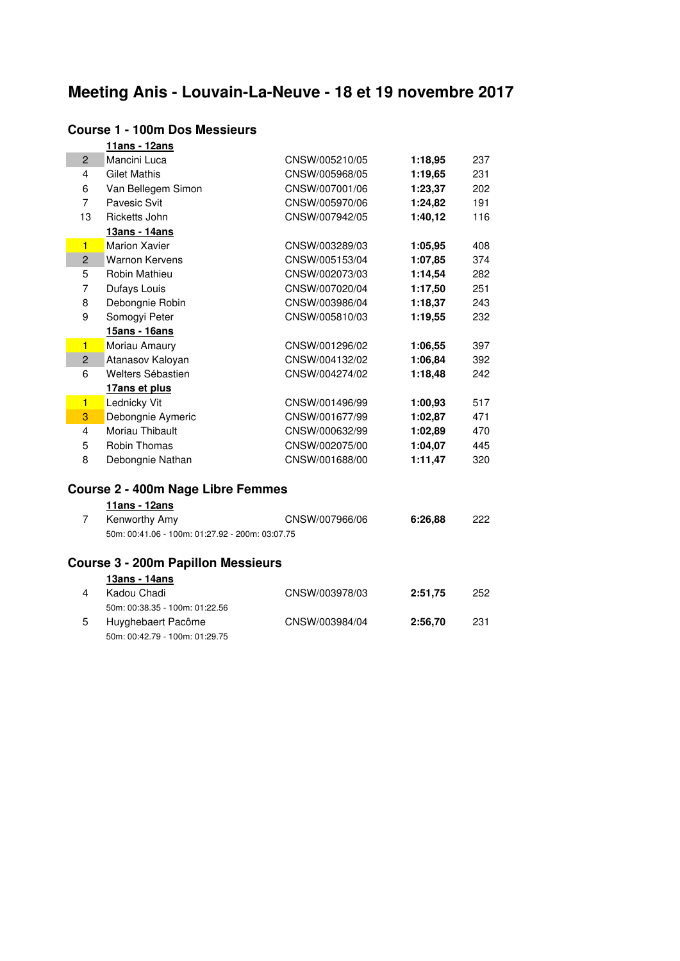# **Meeting Anis - Louvain-La-Neuve - 18 et 19 novembre 2017**

|                         | 11ans - 12ans                                   |                |         |     |
|-------------------------|-------------------------------------------------|----------------|---------|-----|
| $\overline{2}$          | Mancini Luca                                    | CNSW/005210/05 | 1:18,95 | 237 |
| 4                       | <b>Gilet Mathis</b>                             | CNSW/005968/05 | 1:19,65 | 231 |
| 6                       | Van Bellegem Simon                              | CNSW/007001/06 | 1:23,37 | 202 |
| $\overline{7}$          | Pavesic Svit                                    | CNSW/005970/06 | 1:24,82 | 191 |
| 13                      | Ricketts John                                   | CNSW/007942/05 | 1:40,12 | 116 |
|                         | 13ans - 14ans                                   |                |         |     |
| $\blacksquare$          | <b>Marion Xavier</b>                            | CNSW/003289/03 | 1:05,95 | 408 |
| $\overline{2}$          | <b>Warnon Kervens</b>                           | CNSW/005153/04 | 1:07,85 | 374 |
| 5                       | Robin Mathieu                                   | CNSW/002073/03 | 1:14,54 | 282 |
| $\overline{7}$          | Dufays Louis                                    | CNSW/007020/04 | 1:17,50 | 251 |
| 8                       | Debongnie Robin                                 | CNSW/003986/04 | 1:18,37 | 243 |
| 9                       | Somogyi Peter                                   | CNSW/005810/03 | 1:19,55 | 232 |
|                         | 15ans - 16ans                                   |                |         |     |
| $\blacksquare$          | Moriau Amaury                                   | CNSW/001296/02 | 1:06,55 | 397 |
| $\overline{2}$          | Atanasov Kaloyan                                | CNSW/004132/02 | 1:06,84 | 392 |
| 6                       | Welters Sébastien                               | CNSW/004274/02 | 1:18,48 | 242 |
|                         | 17ans et plus                                   |                |         |     |
| $\blacksquare$          | Lednicky Vit                                    | CNSW/001496/99 | 1:00,93 | 517 |
| 3                       | Debongnie Aymeric                               | CNSW/001677/99 | 1:02,87 | 471 |
| $\overline{\mathbf{4}}$ | Moriau Thibault                                 | CNSW/000632/99 | 1:02,89 | 470 |
| 5                       | <b>Robin Thomas</b>                             | CNSW/002075/00 | 1:04,07 | 445 |
| 8                       | Debongnie Nathan                                | CNSW/001688/00 | 1:11,47 | 320 |
|                         | Course 2 - 400m Nage Libre Femmes               |                |         |     |
|                         | 11ans - 12ans                                   |                |         |     |
| 7                       | Kenworthy Amy                                   | CNSW/007966/06 | 6:26,88 | 222 |
|                         | 50m: 00:41.06 - 100m: 01:27.92 - 200m: 03:07.75 |                |         |     |
|                         | <b>Course 3 - 200m Papillon Messieurs</b>       |                |         |     |
|                         | 13ans - 14ans                                   |                |         |     |
| 4                       | Kadou Chadi                                     | CNSW/003978/03 | 2:51,75 | 252 |
|                         | 50m: 00:38.35 - 100m: 01:22.56                  |                |         |     |
| 5                       | Huyghebaert Pacôme                              | CNSW/003984/04 | 2:56,70 | 231 |

#### **Course 1 - 100m Dos Messieurs**

50m: 00:42.79 - 100m: 01:29.75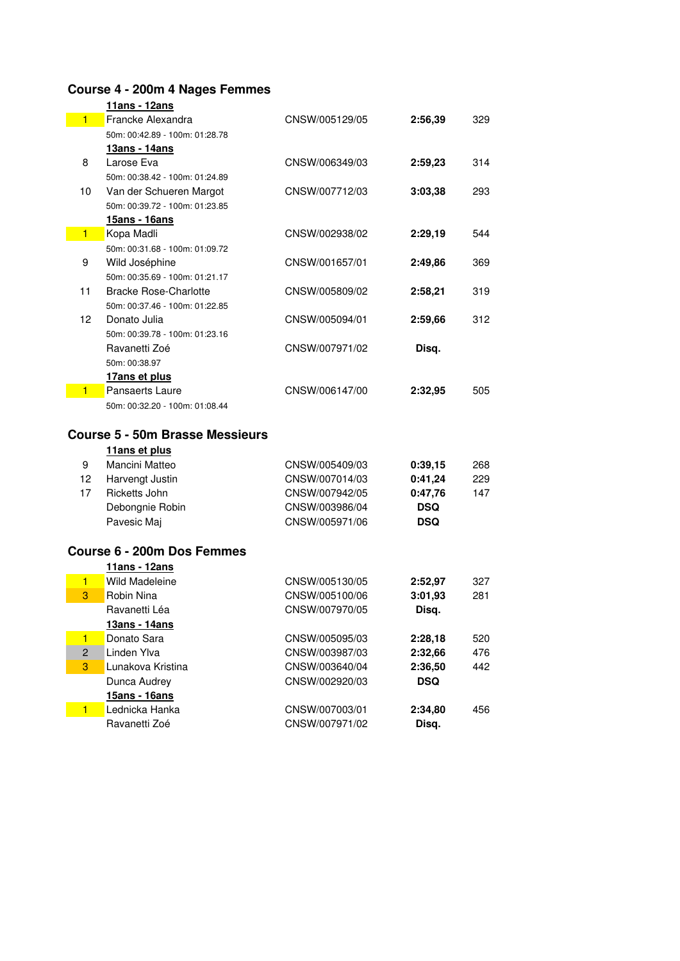# **Course 4 - 200m 4 Nages Femmes**

|                                        | 11ans - 12ans                  |                |         |     |  |  |
|----------------------------------------|--------------------------------|----------------|---------|-----|--|--|
| $\blacksquare$                         | Francke Alexandra              | CNSW/005129/05 | 2:56.39 | 329 |  |  |
|                                        | 50m: 00:42.89 - 100m: 01:28.78 |                |         |     |  |  |
|                                        | <u> 13ans - 14ans</u>          |                |         |     |  |  |
| 8                                      | Larose Eva                     | CNSW/006349/03 | 2:59.23 | 314 |  |  |
|                                        | 50m: 00:38.42 - 100m: 01:24.89 |                |         |     |  |  |
| 10                                     | Van der Schueren Margot        | CNSW/007712/03 | 3:03,38 | 293 |  |  |
|                                        | 50m: 00:39.72 - 100m: 01:23.85 |                |         |     |  |  |
|                                        | 15ans - 16ans                  |                |         |     |  |  |
| $\blacksquare$                         | Kopa Madli                     | CNSW/002938/02 | 2:29,19 | 544 |  |  |
|                                        | 50m: 00:31.68 - 100m: 01:09.72 |                |         |     |  |  |
| 9                                      | Wild Joséphine                 | CNSW/001657/01 | 2:49.86 | 369 |  |  |
|                                        | 50m: 00:35.69 - 100m: 01:21.17 |                |         |     |  |  |
| 11                                     | <b>Bracke Rose-Charlotte</b>   | CNSW/005809/02 | 2:58,21 | 319 |  |  |
|                                        | 50m: 00:37.46 - 100m: 01:22.85 |                |         |     |  |  |
| 12                                     | Donato Julia                   | CNSW/005094/01 | 2:59.66 | 312 |  |  |
|                                        | 50m: 00:39.78 - 100m: 01:23.16 |                |         |     |  |  |
|                                        | Ravanetti Zoé                  | CNSW/007971/02 | Disq.   |     |  |  |
|                                        | 50m: 00:38.97                  |                |         |     |  |  |
|                                        | 17ans et plus                  |                |         |     |  |  |
| 1                                      | Pansaerts Laure                | CNSW/006147/00 | 2:32,95 | 505 |  |  |
|                                        | 50m: 00:32.20 - 100m: 01:08.44 |                |         |     |  |  |
|                                        |                                |                |         |     |  |  |
| <b>Course 5 - 50m Brasse Messieurs</b> |                                |                |         |     |  |  |
|                                        | 11ans et plus                  |                |         |     |  |  |
|                                        |                                |                |         |     |  |  |

| 9   | Mancini Matteo  | CNSW/005409/03 | 0:39.15    | 268 |
|-----|-----------------|----------------|------------|-----|
| 12. | Harvengt Justin | CNSW/007014/03 | 0:41.24    | 229 |
| 17  | Ricketts John   | CNSW/007942/05 | 0:47.76    | 147 |
|     | Debongnie Robin | CNSW/003986/04 | <b>DSQ</b> |     |
|     | Pavesic Maj     | CNSW/005971/06 | <b>DSQ</b> |     |

## **Course 6 - 200m Dos Femmes**

|   | 11ans - 12ans               |                |            |     |
|---|-----------------------------|----------------|------------|-----|
|   | Wild Madeleine              | CNSW/005130/05 | 2:52.97    | 327 |
| 3 | Robin Nina                  | CNSW/005100/06 | 3:01.93    | 281 |
|   | Ravanetti Léa               | CNSW/007970/05 | Disa.      |     |
|   | 13ans - 14ans               |                |            |     |
|   | Donato Sara<br>1.           | CNSW/005095/03 | 2:28.18    | 520 |
|   | Linden Ylva<br>$\mathbf{2}$ | CNSW/003987/03 | 2:32.66    | 476 |
| 3 | Lunakova Kristina           | CNSW/003640/04 | 2:36.50    | 442 |
|   | Dunca Audrey                | CNSW/002920/03 | <b>DSQ</b> |     |
|   | 15ans - 16ans               |                |            |     |
|   | Lednicka Hanka              | CNSW/007003/01 | 2:34.80    | 456 |
|   | Ravanetti Zoé               | CNSW/007971/02 | Disa.      |     |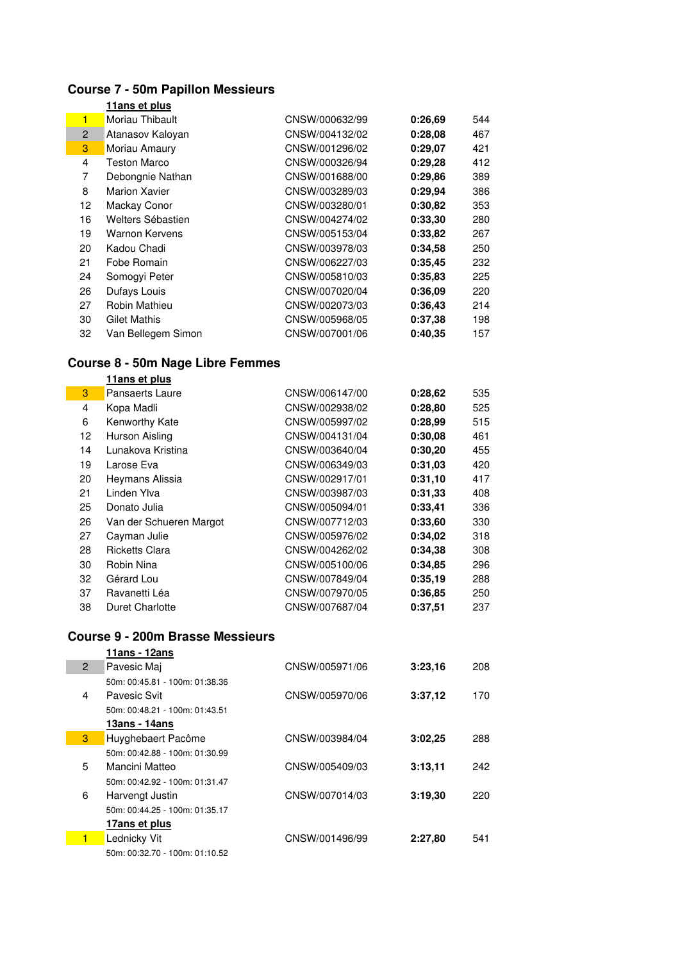# **Course 7 - 50m Papillon Messieurs**

|                | 11ans et plus        |                |         |     |
|----------------|----------------------|----------------|---------|-----|
| $\blacksquare$ | Moriau Thibault      | CNSW/000632/99 | 0:26.69 | 544 |
| $\overline{2}$ | Atanasov Kaloyan     | CNSW/004132/02 | 0:28.08 | 467 |
| 3              | Moriau Amaury        | CNSW/001296/02 | 0:29.07 | 421 |
| 4              | <b>Teston Marco</b>  | CNSW/000326/94 | 0:29.28 | 412 |
| 7              | Debongnie Nathan     | CNSW/001688/00 | 0:29.86 | 389 |
| 8              | <b>Marion Xavier</b> | CNSW/003289/03 | 0:29.94 | 386 |
| 12             | Mackay Conor         | CNSW/003280/01 | 0:30,82 | 353 |
| 16             | Welters Sébastien    | CNSW/004274/02 | 0:33.30 | 280 |
| 19             | Warnon Kervens       | CNSW/005153/04 | 0:33.82 | 267 |
| 20             | Kadou Chadi          | CNSW/003978/03 | 0:34.58 | 250 |
| 21             | Fobe Romain          | CNSW/006227/03 | 0:35.45 | 232 |
| 24             | Somogyi Peter        | CNSW/005810/03 | 0:35.83 | 225 |
| 26             | Dufays Louis         | CNSW/007020/04 | 0:36.09 | 220 |
| 27             | Robin Mathieu        | CNSW/002073/03 | 0:36.43 | 214 |
| 30             | Gilet Mathis         | CNSW/005968/05 | 0:37.38 | 198 |
| 32             | Van Bellegem Simon   | CNSW/007001/06 | 0:40.35 | 157 |

# **Course 8 - 50m Nage Libre Femmes**

|    | 11ans et plus           |                |         |     |
|----|-------------------------|----------------|---------|-----|
| 3  | Pansaerts Laure         | CNSW/006147/00 | 0:28.62 | 535 |
| 4  | Kopa Madli              | CNSW/002938/02 | 0:28.80 | 525 |
| 6  | Kenworthy Kate          | CNSW/005997/02 | 0:28.99 | 515 |
| 12 | Hurson Aisling          | CNSW/004131/04 | 0:30.08 | 461 |
| 14 | Lunakova Kristina       | CNSW/003640/04 | 0:30,20 | 455 |
| 19 | Larose Eva              | CNSW/006349/03 | 0:31.03 | 420 |
| 20 | Heymans Alissia         | CNSW/002917/01 | 0:31.10 | 417 |
| 21 | Linden Ylva             | CNSW/003987/03 | 0:31.33 | 408 |
| 25 | Donato Julia            | CNSW/005094/01 | 0:33.41 | 336 |
| 26 | Van der Schueren Margot | CNSW/007712/03 | 0:33.60 | 330 |
| 27 | Cayman Julie            | CNSW/005976/02 | 0:34.02 | 318 |
| 28 | <b>Ricketts Clara</b>   | CNSW/004262/02 | 0:34.38 | 308 |
| 30 | Robin Nina              | CNSW/005100/06 | 0:34.85 | 296 |
| 32 | Gérard Lou              | CNSW/007849/04 | 0:35.19 | 288 |
| 37 | Ravanetti Léa           | CNSW/007970/05 | 0:36.85 | 250 |
| 38 | <b>Duret Charlotte</b>  | CNSW/007687/04 | 0:37.51 | 237 |

### **Course 9 - 200m Brasse Messieurs**

|              | 11ans - 12ans                  |                |         |     |
|--------------|--------------------------------|----------------|---------|-----|
| $\mathbf{2}$ | Pavesic Maj                    | CNSW/005971/06 | 3:23.16 | 208 |
|              | 50m: 00:45.81 - 100m: 01:38.36 |                |         |     |
| 4            | Pavesic Svit                   | CNSW/005970/06 | 3:37,12 | 170 |
|              | 50m: 00:48.21 - 100m: 01:43.51 |                |         |     |
|              | 13ans - 14ans                  |                |         |     |
| 3            | Huyghebaert Pacôme             | CNSW/003984/04 | 3:02.25 | 288 |
|              | 50m: 00:42.88 - 100m: 01:30.99 |                |         |     |
| 5            | Mancini Matteo                 | CNSW/005409/03 | 3:13,11 | 242 |
|              | 50m: 00:42.92 - 100m: 01:31.47 |                |         |     |
| 6            | Harvengt Justin                | CNSW/007014/03 | 3:19.30 | 220 |
|              | 50m: 00:44.25 - 100m: 01:35.17 |                |         |     |
|              | 17ans et plus                  |                |         |     |
| 1            | Lednicky Vit                   | CNSW/001496/99 | 2:27.80 | 541 |
|              | 50m: 00:32.70 - 100m: 01:10.52 |                |         |     |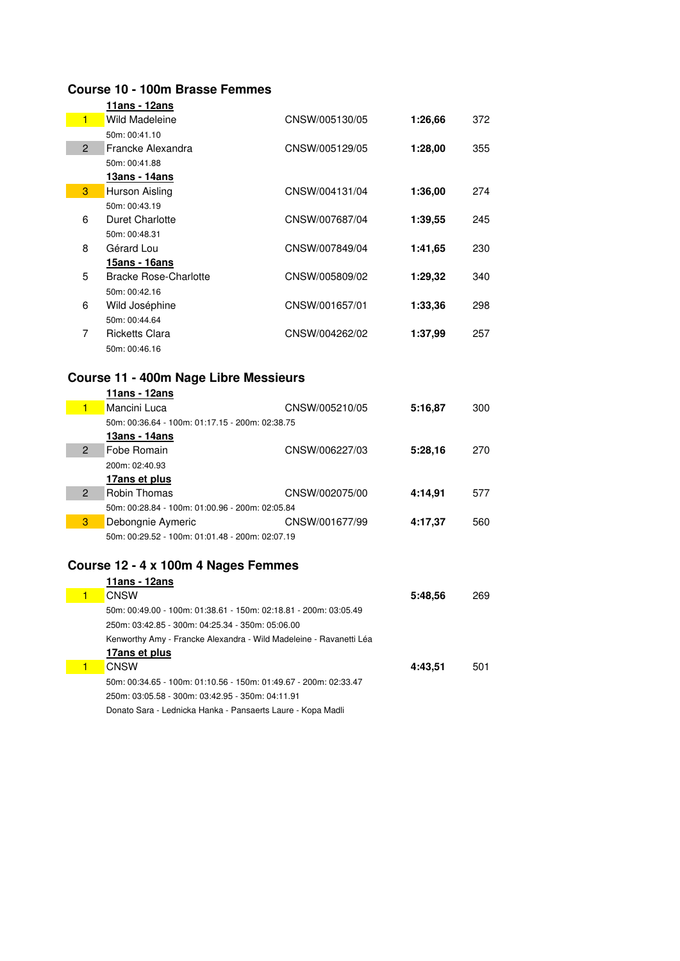#### **Course 10 - 100m Brasse Femmes**

|                | 11ans - 12ans                |                |         |     |
|----------------|------------------------------|----------------|---------|-----|
| $\blacksquare$ | Wild Madeleine               | CNSW/005130/05 | 1:26.66 | 372 |
|                | 50m: 00:41.10                |                |         |     |
| $\overline{2}$ | Francke Alexandra            | CNSW/005129/05 | 1:28,00 | 355 |
|                | 50m: 00:41.88                |                |         |     |
|                | 13ans - 14ans                |                |         |     |
| 3              | Hurson Aisling               | CNSW/004131/04 | 1:36.00 | 274 |
|                | 50m: 00:43.19                |                |         |     |
| 6              | Duret Charlotte              | CNSW/007687/04 | 1:39,55 | 245 |
|                | 50m: 00:48.31                |                |         |     |
| 8              | Gérard Lou                   | CNSW/007849/04 | 1:41,65 | 230 |
|                | 15ans - 16ans                |                |         |     |
| 5              | <b>Bracke Rose-Charlotte</b> | CNSW/005809/02 | 1:29.32 | 340 |
|                | 50m: 00:42.16                |                |         |     |
| 6              | Wild Joséphine               | CNSW/001657/01 | 1:33.36 | 298 |
|                | 50m: 00:44.64                |                |         |     |
| 7              | Ricketts Clara               | CNSW/004262/02 | 1:37.99 | 257 |
|                | 50m: 00:46.16                |                |         |     |

## **Course 11 - 400m Nage Libre Messieurs**

|                | 11ans - 12ans                                   |                |         |     |
|----------------|-------------------------------------------------|----------------|---------|-----|
| 1              | Mancini Luca                                    | CNSW/005210/05 | 5:16.87 | 300 |
|                | 50m: 00:36.64 - 100m: 01:17.15 - 200m: 02:38.75 |                |         |     |
|                | 13ans - 14ans                                   |                |         |     |
| 2              | Fobe Romain                                     | CNSW/006227/03 | 5:28.16 | 270 |
|                | 200m: 02:40.93                                  |                |         |     |
|                | 17ans et plus                                   |                |         |     |
| $\overline{2}$ | <b>Robin Thomas</b>                             | CNSW/002075/00 | 4:14.91 | 577 |
|                | 50m: 00:28.84 - 100m: 01:00.96 - 200m: 02:05.84 |                |         |     |
| 3              | Debongnie Aymeric                               | CNSW/001677/99 | 4:17.37 | 560 |
|                | 50m: 00:29.52 - 100m: 01:01.48 - 200m: 02:07.19 |                |         |     |
|                |                                                 |                |         |     |

### **Course 12 - 4 x 100m 4 Nages Femmes**

| 11ans - 12ans                                                      |         |     |
|--------------------------------------------------------------------|---------|-----|
| <b>CNSW</b>                                                        | 5:48.56 | 269 |
| 50m: 00:49.00 - 100m: 01:38.61 - 150m: 02:18.81 - 200m: 03:05.49   |         |     |
| 250m: 03:42.85 - 300m: 04:25.34 - 350m: 05:06.00                   |         |     |
| Kenworthy Amy - Francke Alexandra - Wild Madeleine - Ravanetti Léa |         |     |
| 17ans et plus                                                      |         |     |
| <b>CNSW</b>                                                        | 4:43,51 | 501 |
| 50m: 00:34.65 - 100m: 01:10.56 - 150m: 01:49.67 - 200m: 02:33.47   |         |     |
| 250m: 03:05.58 - 300m: 03:42.95 - 350m: 04:11.91                   |         |     |
| Donato Sara - Lednicka Hanka - Pansaerts Laure - Kopa Madli        |         |     |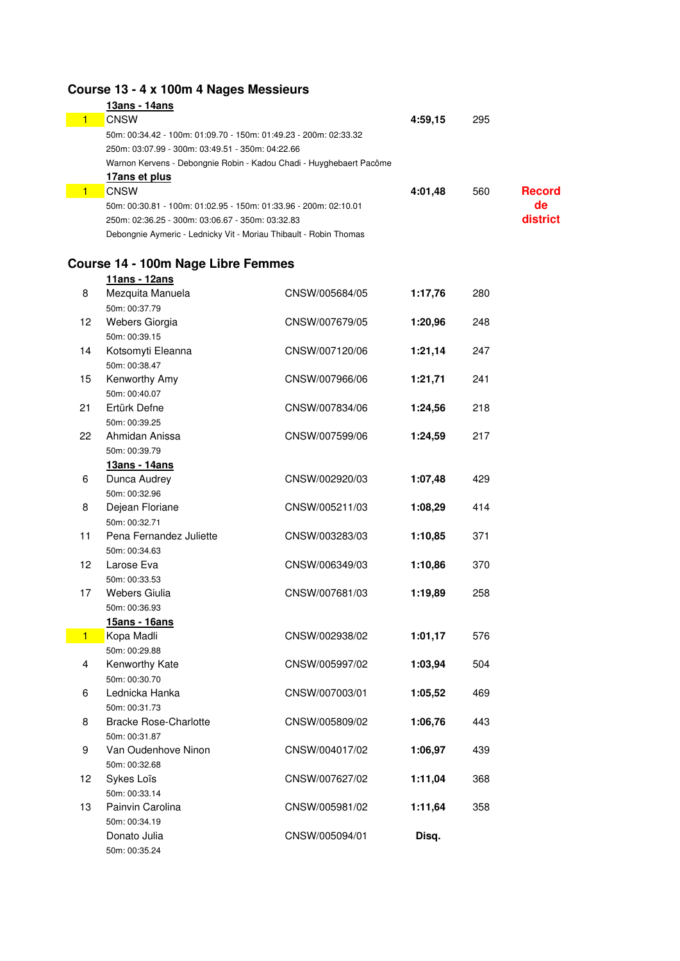# **Course 13 - 4 x 100m 4 Nages Messieurs**

|  | 13ans - 14ans                                                       |         |     |               |
|--|---------------------------------------------------------------------|---------|-----|---------------|
|  | <b>CNSW</b>                                                         | 4:59.15 | 295 |               |
|  | 50m: 00:34.42 - 100m: 01:09.70 - 150m: 01:49.23 - 200m: 02:33.32    |         |     |               |
|  | 250m: 03:07.99 - 300m: 03:49.51 - 350m: 04:22.66                    |         |     |               |
|  | Warnon Kervens - Debongnie Robin - Kadou Chadi - Huyghebaert Pacôme |         |     |               |
|  | 17ans et plus                                                       |         |     |               |
|  | <b>CNSW</b>                                                         | 4:01.48 | 560 | <b>Record</b> |
|  | 50m: 00:30.81 - 100m: 01:02.95 - 150m: 01:33.96 - 200m: 02:10.01    |         |     | de            |
|  | 250m: 02:36.25 - 300m: 03:06.67 - 350m: 03:32.83                    |         |     | district      |
|  | Debongnie Aymeric - Lednicky Vit - Moriau Thibault - Robin Thomas   |         |     |               |
|  |                                                                     |         |     |               |

## **Course 14 - 100m Nage Libre Femmes**

|                | 11ans - 12ans                  |                |         |     |
|----------------|--------------------------------|----------------|---------|-----|
| 8              | Mezquita Manuela               | CNSW/005684/05 | 1:17,76 | 280 |
|                | 50m: 00:37.79                  |                |         |     |
| 12             | Webers Giorgia                 | CNSW/007679/05 | 1:20,96 | 248 |
|                | 50m: 00:39.15                  |                |         |     |
| 14             | Kotsomyti Eleanna              | CNSW/007120/06 | 1:21,14 | 247 |
|                | 50m: 00:38.47                  |                |         |     |
| 15             | Kenworthy Amy                  | CNSW/007966/06 | 1:21,71 | 241 |
|                | 50m: 00:40.07                  |                |         |     |
| 21             | Ertürk Defne                   | CNSW/007834/06 | 1:24,56 | 218 |
|                | 50m: 00:39.25                  |                |         |     |
| 22             | Ahmidan Anissa                 | CNSW/007599/06 | 1:24,59 | 217 |
|                | 50m: 00:39.79                  |                |         |     |
|                | 13ans - 14ans                  |                |         |     |
| 6              | Dunca Audrey                   | CNSW/002920/03 | 1:07,48 | 429 |
|                | 50m: 00:32.96                  |                |         |     |
| 8              | Dejean Floriane                | CNSW/005211/03 | 1:08,29 | 414 |
|                | 50m: 00:32.71                  |                |         |     |
| 11             | Pena Fernandez Juliette        | CNSW/003283/03 | 1:10,85 | 371 |
|                | 50m: 00:34.63                  |                |         |     |
| 12             | Larose Eva                     | CNSW/006349/03 | 1:10,86 | 370 |
| 17             | 50m: 00:33.53<br>Webers Giulia | CNSW/007681/03 |         | 258 |
|                | 50m: 00:36.93                  |                | 1:19,89 |     |
|                | 15ans - 16ans                  |                |         |     |
| $\blacksquare$ | Kopa Madli                     | CNSW/002938/02 | 1:01,17 | 576 |
|                | 50m: 00:29.88                  |                |         |     |
| 4              | Kenworthy Kate                 | CNSW/005997/02 | 1:03,94 | 504 |
|                | 50m: 00:30.70                  |                |         |     |
| 6              | Lednicka Hanka                 | CNSW/007003/01 | 1:05,52 | 469 |
|                | 50m: 00:31.73                  |                |         |     |
| 8              | <b>Bracke Rose-Charlotte</b>   | CNSW/005809/02 | 1:06,76 | 443 |
|                | 50m: 00:31.87                  |                |         |     |
| 9              | Van Oudenhove Ninon            | CNSW/004017/02 | 1:06,97 | 439 |
|                | 50m: 00:32.68                  |                |         |     |
| 12             | Sykes Loïs                     | CNSW/007627/02 | 1:11,04 | 368 |
|                | 50m: 00:33.14                  |                |         |     |
| 13             | Painvin Carolina               | CNSW/005981/02 | 1:11,64 | 358 |
|                | 50m: 00:34.19                  |                |         |     |
|                | Donato Julia                   | CNSW/005094/01 | Disq.   |     |
|                | 50m: 00:35.24                  |                |         |     |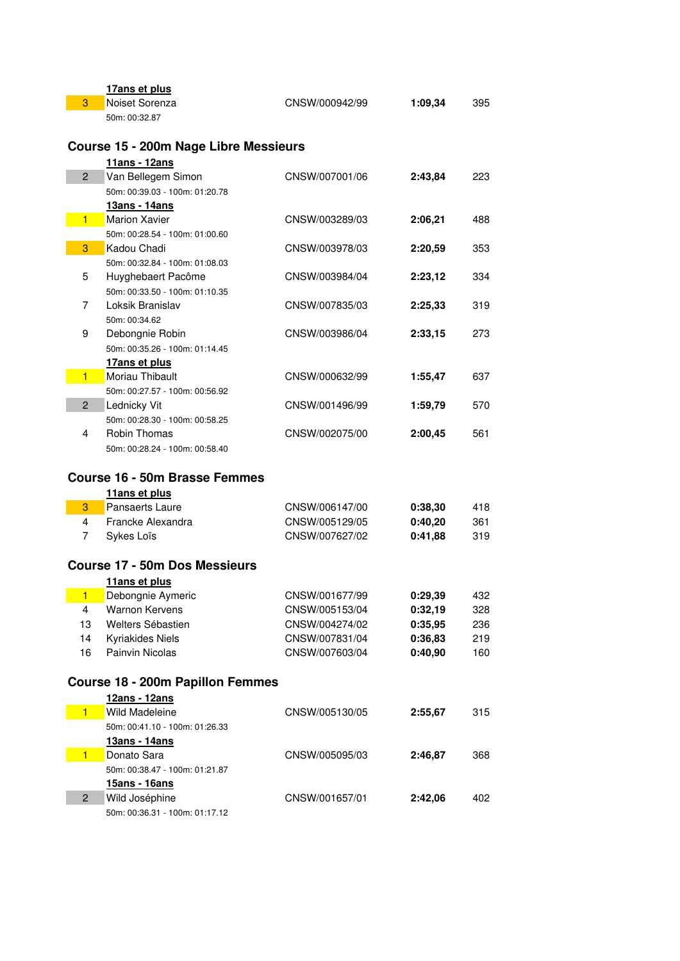|                | 17ans et plus                                        |                |         |     |
|----------------|------------------------------------------------------|----------------|---------|-----|
| 3              | Noiset Sorenza                                       | CNSW/000942/99 | 1:09,34 | 395 |
|                | 50m: 00:32.87                                        |                |         |     |
|                |                                                      |                |         |     |
|                | <b>Course 15 - 200m Nage Libre Messieurs</b>         |                |         |     |
|                | 11ans - 12ans                                        |                |         |     |
| $\overline{2}$ | Van Bellegem Simon                                   | CNSW/007001/06 | 2:43,84 | 223 |
|                | 50m: 00:39.03 - 100m: 01:20.78                       |                |         |     |
|                | 13ans - 14ans                                        |                |         |     |
| 1              | <b>Marion Xavier</b>                                 | CNSW/003289/03 | 2:06,21 | 488 |
|                | 50m: 00:28.54 - 100m: 01:00.60                       |                |         |     |
| 3              | Kadou Chadi                                          | CNSW/003978/03 | 2:20,59 | 353 |
|                | 50m: 00:32.84 - 100m: 01:08.03                       |                |         |     |
| 5              |                                                      | CNSW/003984/04 |         | 334 |
|                | Huyghebaert Pacôme<br>50m: 00:33.50 - 100m: 01:10.35 |                | 2:23,12 |     |
| 7              | Loksik Branislav                                     | CNSW/007835/03 | 2:25,33 | 319 |
|                |                                                      |                |         |     |
|                | 50m: 00:34.62                                        |                |         |     |
| 9              | Debongnie Robin                                      | CNSW/003986/04 | 2:33,15 | 273 |
|                | 50m: 00:35.26 - 100m: 01:14.45                       |                |         |     |
|                | 17ans et plus                                        |                |         |     |
| 1              | Moriau Thibault                                      | CNSW/000632/99 | 1:55,47 | 637 |
|                | 50m: 00:27.57 - 100m: 00:56.92                       |                |         |     |
| $\overline{2}$ | Lednicky Vit                                         | CNSW/001496/99 | 1:59,79 | 570 |
|                | 50m: 00:28.30 - 100m: 00:58.25                       |                |         |     |
| $\overline{4}$ | <b>Robin Thomas</b>                                  | CNSW/002075/00 | 2:00,45 | 561 |
|                | 50m: 00:28.24 - 100m: 00:58.40                       |                |         |     |
|                |                                                      |                |         |     |
|                | <b>Course 16 - 50m Brasse Femmes</b>                 |                |         |     |
|                | 11ans et plus                                        |                |         |     |
| 3              | <b>Pansaerts Laure</b>                               | CNSW/006147/00 | 0:38,30 | 418 |
| 4              | Francke Alexandra                                    | CNSW/005129/05 | 0:40,20 | 361 |
| 7              | Sykes Loïs                                           | CNSW/007627/02 | 0:41,88 | 319 |
|                |                                                      |                |         |     |
|                | <b>Course 17 - 50m Dos Messieurs</b>                 |                |         |     |
|                | 11ans et plus                                        |                |         |     |
| $\mathbf{1}$   | Debongnie Aymeric                                    | CNSW/001677/99 | 0:29,39 | 432 |
| 4              | <b>Warnon Kervens</b>                                | CNSW/005153/04 | 0:32,19 | 328 |
| 13             | Welters Sébastien                                    | CNSW/004274/02 | 0:35,95 | 236 |
| 14             | <b>Kyriakides Niels</b>                              | CNSW/007831/04 | 0:36,83 | 219 |
| 16             | Painvin Nicolas                                      | CNSW/007603/04 | 0:40,90 | 160 |
|                |                                                      |                |         |     |
|                | <b>Course 18 - 200m Papillon Femmes</b>              |                |         |     |
|                | 12ans - 12ans                                        |                |         |     |
| 1              | Wild Madeleine                                       | CNSW/005130/05 | 2:55,67 | 315 |
|                | 50m: 00:41.10 - 100m: 01:26.33                       |                |         |     |
|                | 13ans - 14ans                                        |                |         |     |
| $\blacksquare$ | Donato Sara                                          | CNSW/005095/03 | 2:46,87 | 368 |
|                | 50m: 00:38.47 - 100m: 01:21.87                       |                |         |     |
|                |                                                      |                |         |     |
| $\overline{c}$ | 15ans - 16ans                                        |                |         |     |
|                | Wild Joséphine                                       | CNSW/001657/01 | 2:42,06 | 402 |
|                | 50m: 00:36.31 - 100m: 01:17.12                       |                |         |     |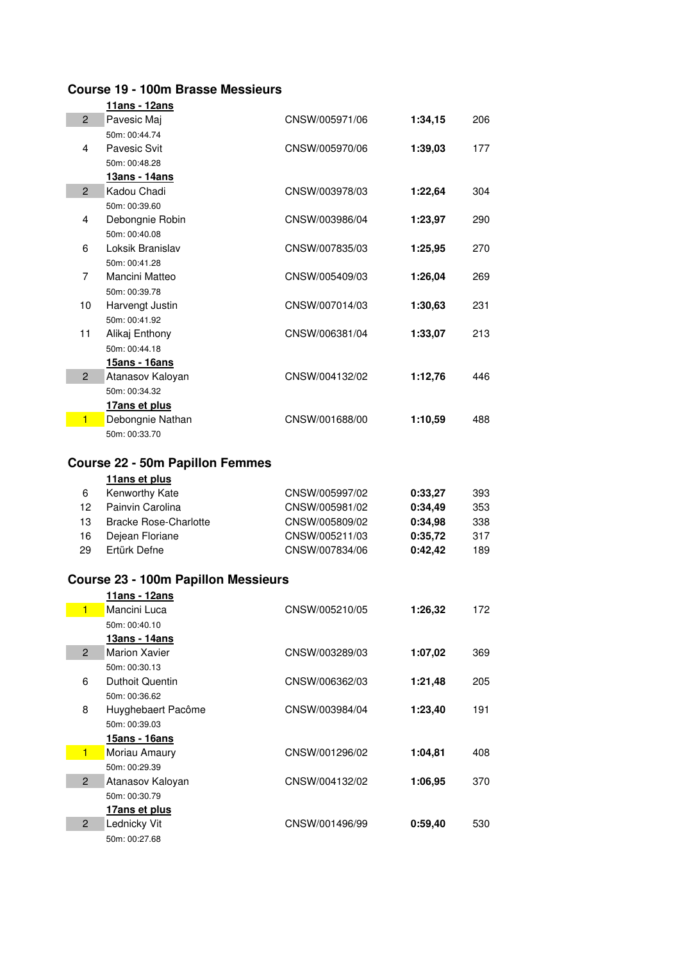## **Course 19 - 100m Brasse Messieurs**

|                | 11ans - 12ans                              |                                  |                    |            |
|----------------|--------------------------------------------|----------------------------------|--------------------|------------|
| $\overline{2}$ | Pavesic Maj                                | CNSW/005971/06                   | 1:34,15            | 206        |
|                | 50m: 00:44.74                              |                                  |                    |            |
| 4              | Pavesic Svit                               | CNSW/005970/06                   | 1:39,03            | 177        |
|                | 50m: 00:48.28                              |                                  |                    |            |
|                | 13ans - 14ans                              |                                  |                    |            |
| $\mathbf{2}$   | Kadou Chadi                                | CNSW/003978/03                   | 1:22,64            | 304        |
|                | 50m: 00:39.60                              |                                  |                    |            |
| 4              | Debongnie Robin                            | CNSW/003986/04                   | 1:23,97            | 290        |
|                | 50m: 00:40.08                              |                                  |                    |            |
| 6              | Loksik Branislav                           | CNSW/007835/03                   | 1:25,95            | 270        |
|                | 50m: 00:41.28                              |                                  |                    |            |
| 7              | Mancini Matteo                             | CNSW/005409/03                   | 1:26,04            | 269        |
| 10             | 50m: 00:39.78<br>Harvengt Justin           | CNSW/007014/03                   | 1:30,63            | 231        |
|                | 50m: 00:41.92                              |                                  |                    |            |
| 11             | Alikaj Enthony                             | CNSW/006381/04                   | 1:33,07            | 213        |
|                | 50m: 00:44.18                              |                                  |                    |            |
|                | 15ans - 16ans                              |                                  |                    |            |
| $\overline{2}$ | Atanasov Kaloyan                           | CNSW/004132/02                   | 1:12,76            | 446        |
|                | 50m: 00:34.32                              |                                  |                    |            |
|                | 17ans et plus                              |                                  |                    |            |
| $\blacksquare$ | Debongnie Nathan                           | CNSW/001688/00                   | 1:10,59            | 488        |
|                | 50m: 00:33.70                              |                                  |                    |            |
|                |                                            |                                  |                    |            |
|                | <b>Course 22 - 50m Papillon Femmes</b>     |                                  |                    |            |
|                | 11ans et plus                              |                                  |                    |            |
| 6              | Kenworthy Kate                             | CNSW/005997/02                   | 0:33,27            | 393        |
| 12             | Painvin Carolina                           | CNSW/005981/02                   | 0:34,49            | 353        |
| 13             | <b>Bracke Rose-Charlotte</b>               | CNSW/005809/02                   | 0:34,98            | 338        |
| 16<br>29       | Dejean Floriane<br>Ertürk Defne            | CNSW/005211/03<br>CNSW/007834/06 | 0:35,72<br>0:42,42 | 317<br>189 |
|                |                                            |                                  |                    |            |
|                | <b>Course 23 - 100m Papillon Messieurs</b> |                                  |                    |            |
|                | 11ans - 12ans                              |                                  |                    |            |
| 1              | Mancini Luca                               | CNSW/005210/05                   | 1:26,32            | 172        |
|                | 50m: 00:40.10                              |                                  |                    |            |
|                | 13ans - 14ans                              |                                  |                    |            |
| $\overline{2}$ | <b>Marion Xavier</b>                       | CNSW/003289/03                   | 1:07,02            | 369        |
|                | 50m: 00:30.13                              |                                  |                    |            |
| 6              | Duthoit Quentin                            | CNSW/006362/03                   | 1:21,48            | 205        |
|                | 50m: 00:36.62                              |                                  |                    |            |
| 8              | Huyghebaert Pacôme                         | CNSW/003984/04                   | 1:23,40            | 191        |
|                | 50m: 00:39.03                              |                                  |                    |            |
|                | 15ans - 16ans                              |                                  |                    |            |
| $\blacksquare$ | Moriau Amaury                              | CNSW/001296/02                   | 1:04,81            | 408        |
|                | 50m: 00:29.39                              |                                  |                    |            |
| $\overline{c}$ | Atanasov Kaloyan                           | CNSW/004132/02                   | 1:06,95            | 370        |
|                | 50m: 00:30.79                              |                                  |                    |            |
| $\overline{2}$ | 17ans et plus                              |                                  |                    |            |
|                | Lednicky Vit<br>50m: 00:27.68              | CNSW/001496/99                   | 0:59,40            | 530        |
|                |                                            |                                  |                    |            |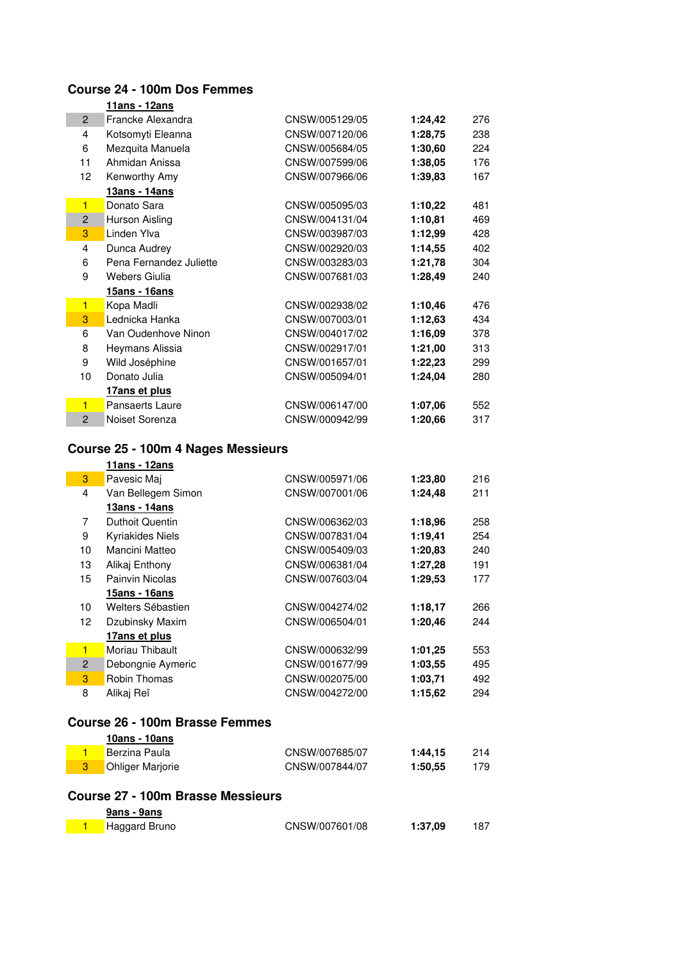## **Course 24 - 100m Dos Femmes**

|                     | 11ans - 12ans                                       |                                  |                    |            |
|---------------------|-----------------------------------------------------|----------------------------------|--------------------|------------|
| $\overline{2}$      | Francke Alexandra                                   | CNSW/005129/05                   | 1:24,42            | 276        |
| $\overline{4}$      | Kotsomyti Eleanna                                   | CNSW/007120/06                   | 1:28,75            | 238        |
| 6                   | Mezquita Manuela                                    | CNSW/005684/05                   | 1:30,60            | 224        |
| 11                  | Ahmidan Anissa                                      | CNSW/007599/06                   | 1:38,05            | 176        |
| 12                  | Kenworthy Amy                                       | CNSW/007966/06                   | 1:39,83            | 167        |
|                     | 13ans - 14ans                                       |                                  |                    |            |
| $\blacksquare$      | Donato Sara                                         | CNSW/005095/03                   | 1:10,22            | 481        |
| $\overline{c}$      | Hurson Aisling                                      | CNSW/004131/04                   | 1:10,81            | 469        |
| 3                   | Linden Ylva                                         | CNSW/003987/03                   | 1:12,99            | 428        |
| 4                   | Dunca Audrey                                        | CNSW/002920/03                   | 1:14,55            | 402        |
| 6                   | Pena Fernandez Juliette                             | CNSW/003283/03                   | 1:21,78            | 304        |
| 9                   | <b>Webers Giulia</b>                                | CNSW/007681/03                   | 1:28,49            | 240        |
|                     | 15ans - 16ans                                       |                                  |                    |            |
| $\blacksquare$      | Kopa Madli                                          | CNSW/002938/02                   | 1:10,46            | 476        |
| 3                   | Lednicka Hanka                                      | CNSW/007003/01                   | 1:12,63            | 434        |
| 6                   | Van Oudenhove Ninon                                 | CNSW/004017/02                   | 1:16,09            | 378        |
| 8                   | Heymans Alissia                                     | CNSW/002917/01                   | 1:21,00            | 313        |
| 9                   | Wild Joséphine                                      | CNSW/001657/01                   | 1:22,23            | 299        |
| 10                  | Donato Julia                                        | CNSW/005094/01                   | 1:24,04            | 280        |
|                     | 17ans et plus                                       |                                  |                    |            |
| $\blacksquare$      | Pansaerts Laure                                     | CNSW/006147/00                   | 1:07,06            | 552        |
| $\overline{2}$      | Noiset Sorenza                                      | CNSW/000942/99                   | 1:20,66            | 317        |
|                     |                                                     |                                  |                    |            |
|                     | Course 25 - 100m 4 Nages Messieurs<br>11ans - 12ans |                                  |                    |            |
| 3                   | Pavesic Maj                                         | CNSW/005971/06                   | 1:23,80            | 216        |
| 4                   | Van Bellegem Simon                                  | CNSW/007001/06                   | 1:24,48            | 211        |
|                     | 13ans - 14ans                                       |                                  |                    |            |
| 7                   | <b>Duthoit Quentin</b>                              | CNSW/006362/03                   | 1:18,96            | 258        |
| 9                   | Kyriakides Niels                                    | CNSW/007831/04                   | 1:19,41            | 254        |
| 10                  | Mancini Matteo                                      | CNSW/005409/03                   | 1:20,83            | 240        |
| 13                  | Alikaj Enthony                                      | CNSW/006381/04                   | 1:27,28            | 191        |
| 15                  | Painvin Nicolas                                     | CNSW/007603/04                   | 1:29,53            | 177        |
|                     | 15ans - 16ans                                       |                                  |                    |            |
| 10                  | Welters Sébastien                                   | CNSW/004274/02                   | 1:18,17            | 266        |
| 12                  | Dzubinsky Maxim                                     | CNSW/006504/01                   | 1:20,46            | 244        |
|                     | 17ans et plus                                       |                                  |                    |            |
| $\blacksquare$      | Moriau Thibault                                     | CNSW/000632/99                   | 1:01,25            | 553        |
| $\overline{c}$      | Debongnie Aymeric                                   | CNSW/001677/99                   | 1:03,55            | 495        |
| 3                   | Robin Thomas                                        | CNSW/002075/00                   | 1:03,71            | 492        |
| 8                   | Alikaj Reï                                          | CNSW/004272/00                   | 1:15,62            | 294        |
|                     |                                                     |                                  |                    |            |
|                     | <b>Course 26 - 100m Brasse Femmes</b>               |                                  |                    |            |
|                     | 10ans - 10ans                                       |                                  |                    |            |
| $\blacksquare$<br>3 | Berzina Paula<br><b>Ohliger Marjorie</b>            | CNSW/007685/07<br>CNSW/007844/07 | 1:44,15<br>1:50,55 | 214<br>179 |

#### **Course 27 - 100m Brasse Messieurs**

| 9ans - 9ans   |                |         |     |
|---------------|----------------|---------|-----|
| Haggard Bruno | CNSW/007601/08 | 1:37.09 | 187 |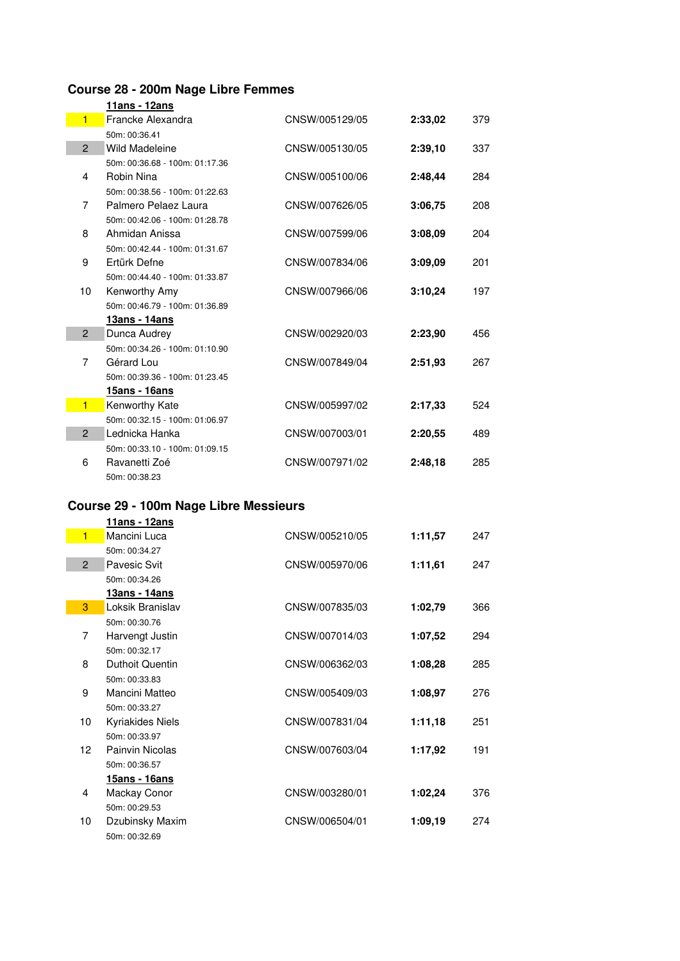# **Course 28 - 200m Nage Libre Femmes**

|                | <u> 11ans - 12ans</u>          |                |         |     |
|----------------|--------------------------------|----------------|---------|-----|
| $\blacksquare$ | Francke Alexandra              | CNSW/005129/05 | 2:33.02 | 379 |
|                | 50m: 00:36.41                  |                |         |     |
| $\overline{2}$ | Wild Madeleine                 | CNSW/005130/05 | 2:39.10 | 337 |
|                | 50m: 00:36.68 - 100m: 01:17.36 |                |         |     |
| 4              | Robin Nina                     | CNSW/005100/06 | 2:48,44 | 284 |
|                | 50m: 00:38.56 - 100m: 01:22.63 |                |         |     |
| $\overline{7}$ | Palmero Pelaez Laura           | CNSW/007626/05 | 3:06.75 | 208 |
|                | 50m: 00:42.06 - 100m: 01:28.78 |                |         |     |
| 8              | Ahmidan Anissa                 | CNSW/007599/06 | 3:08.09 | 204 |
|                | 50m: 00:42.44 - 100m: 01:31.67 |                |         |     |
| 9              | Ertürk Defne                   | CNSW/007834/06 | 3:09,09 | 201 |
|                | 50m: 00:44.40 - 100m: 01:33.87 |                |         |     |
| 10             | Kenworthy Amy                  | CNSW/007966/06 | 3:10,24 | 197 |
|                | 50m: 00:46.79 - 100m: 01:36.89 |                |         |     |
|                | 13ans - 14ans                  |                |         |     |
| $\overline{2}$ | Dunca Audrey                   | CNSW/002920/03 | 2:23.90 | 456 |
|                | 50m: 00:34.26 - 100m: 01:10.90 |                |         |     |
| $\overline{7}$ | Gérard Lou                     | CNSW/007849/04 | 2:51,93 | 267 |
|                | 50m: 00:39.36 - 100m: 01:23.45 |                |         |     |
|                | 15ans - 16ans                  |                |         |     |
| $\overline{1}$ | Kenworthy Kate                 | CNSW/005997/02 | 2:17,33 | 524 |
|                | 50m: 00:32.15 - 100m: 01:06.97 |                |         |     |
| $\overline{2}$ | Lednicka Hanka                 | CNSW/007003/01 | 2:20.55 | 489 |
|                | 50m: 00:33.10 - 100m: 01:09.15 |                |         |     |
| 6              | Ravanetti Zoé                  | CNSW/007971/02 | 2:48,18 | 285 |
|                | 50m: 00:38.23                  |                |         |     |
|                |                                |                |         |     |

#### **Course 29 - 100m Nage Libre Messieurs**

|                 | 11ans - 12ans           |                |         |     |
|-----------------|-------------------------|----------------|---------|-----|
| $\blacksquare$  | Mancini Luca            | CNSW/005210/05 | 1:11,57 | 247 |
|                 | 50m: 00:34.27           |                |         |     |
| $\overline{2}$  | <b>Pavesic Svit</b>     | CNSW/005970/06 | 1:11,61 | 247 |
|                 | 50m: 00:34.26           |                |         |     |
|                 | <u> 13ans - 14ans</u>   |                |         |     |
| 3               | Loksik Branislav        | CNSW/007835/03 | 1:02,79 | 366 |
|                 | 50m: 00:30.76           |                |         |     |
| 7               | Harvengt Justin         | CNSW/007014/03 | 1:07,52 | 294 |
|                 | 50m: 00:32.17           |                |         |     |
| 8               | <b>Duthoit Quentin</b>  | CNSW/006362/03 | 1:08,28 | 285 |
|                 | 50m: 00:33.83           |                |         |     |
| 9               | Mancini Matteo          | CNSW/005409/03 | 1:08,97 | 276 |
|                 | 50m: 00:33.27           |                |         |     |
| 10              | <b>Kyriakides Niels</b> | CNSW/007831/04 | 1:11,18 | 251 |
|                 | 50m: 00:33.97           |                |         |     |
| 12 <sup>2</sup> | Painvin Nicolas         | CNSW/007603/04 | 1:17,92 | 191 |
|                 | 50m: 00:36.57           |                |         |     |
|                 | 15ans - 16ans           |                |         |     |
| 4               | Mackay Conor            | CNSW/003280/01 | 1:02,24 | 376 |
|                 | 50m: 00:29.53           |                |         |     |
| 10              | Dzubinsky Maxim         | CNSW/006504/01 | 1:09,19 | 274 |
|                 | 50m: 00:32.69           |                |         |     |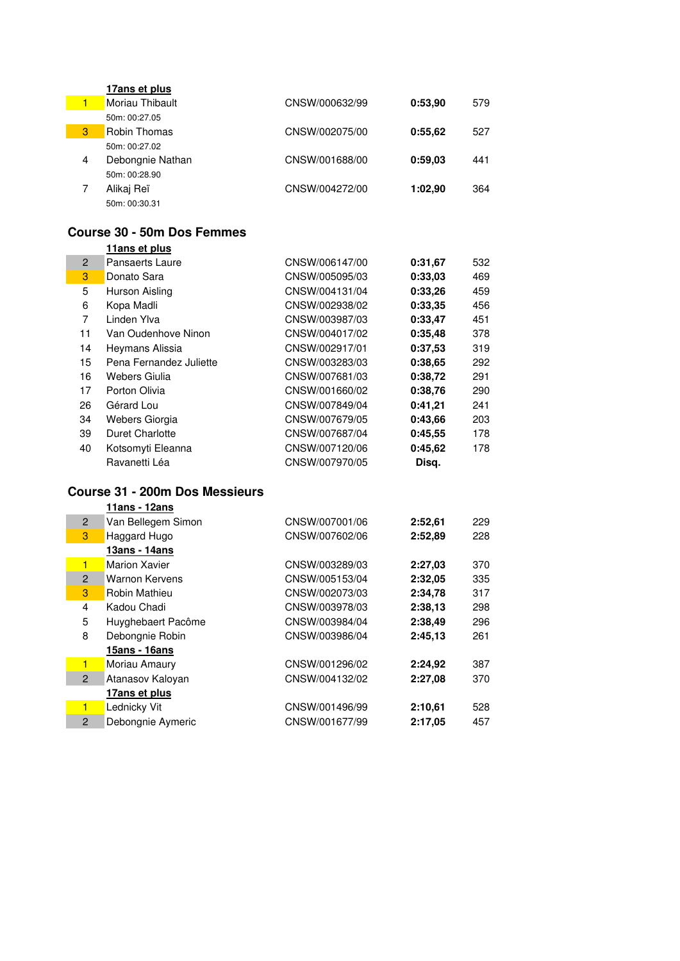|   | 17ans et plus       |                |         |     |
|---|---------------------|----------------|---------|-----|
| 1 | Moriau Thibault     | CNSW/000632/99 | 0:53.90 | 579 |
|   | 50m: 00:27.05       |                |         |     |
| 3 | <b>Robin Thomas</b> | CNSW/002075/00 | 0:55.62 | 527 |
|   | 50m: 00:27.02       |                |         |     |
| 4 | Debongnie Nathan    | CNSW/001688/00 | 0:59.03 | 441 |
|   | 50m: 00:28.90       |                |         |     |
|   | Alikaj Reï          | CNSW/004272/00 | 1:02.90 | 364 |
|   | 50m: 00:30.31       |                |         |     |
|   |                     |                |         |     |

#### **Course 30 - 50m Dos Femmes 11ans et plus**

|                | <b>I I AIIS EL PIUS</b> |                |         |     |
|----------------|-------------------------|----------------|---------|-----|
| $\overline{2}$ | Pansaerts Laure         | CNSW/006147/00 | 0:31.67 | 532 |
| 3              | Donato Sara             | CNSW/005095/03 | 0:33.03 | 469 |
| 5              | Hurson Aisling          | CNSW/004131/04 | 0:33.26 | 459 |
| 6              | Kopa Madli              | CNSW/002938/02 | 0:33.35 | 456 |
| 7              | Linden Ylva             | CNSW/003987/03 | 0:33,47 | 451 |
| 11             | Van Oudenhove Ninon     | CNSW/004017/02 | 0:35.48 | 378 |
| 14             | Heymans Alissia         | CNSW/002917/01 | 0:37.53 | 319 |
| 15             | Pena Fernandez Juliette | CNSW/003283/03 | 0:38,65 | 292 |
| 16             | Webers Giulia           | CNSW/007681/03 | 0:38,72 | 291 |
| 17             | Porton Olivia           | CNSW/001660/02 | 0:38.76 | 290 |
| 26             | Gérard Lou              | CNSW/007849/04 | 0:41,21 | 241 |
| 34             | Webers Giorgia          | CNSW/007679/05 | 0:43.66 | 203 |
| 39             | <b>Duret Charlotte</b>  | CNSW/007687/04 | 0:45.55 | 178 |
| 40             | Kotsomyti Eleanna       | CNSW/007120/06 | 0:45.62 | 178 |
|                | Ravanetti Léa           | CNSW/007970/05 | Disa.   |     |
|                |                         |                |         |     |

#### **Course 31 - 200m Dos Messieurs**

|                | 11ans - 12ans        |                |         |     |
|----------------|----------------------|----------------|---------|-----|
| $\overline{2}$ | Van Bellegem Simon   | CNSW/007001/06 | 2:52.61 | 229 |
| 3              | Haggard Hugo         | CNSW/007602/06 | 2:52.89 | 228 |
|                | 13ans - 14ans        |                |         |     |
| 1              | Marion Xavier        | CNSW/003289/03 | 2:27.03 | 370 |
| 2              | Warnon Kervens       | CNSW/005153/04 | 2:32,05 | 335 |
| 3              | <b>Robin Mathieu</b> | CNSW/002073/03 | 2:34.78 | 317 |
| $\overline{4}$ | Kadou Chadi          | CNSW/003978/03 | 2:38,13 | 298 |
| 5              | Huyghebaert Pacôme   | CNSW/003984/04 | 2:38,49 | 296 |
| 8              | Debongnie Robin      | CNSW/003986/04 | 2:45.13 | 261 |
|                | 15ans - 16ans        |                |         |     |
| 1              | Moriau Amaury        | CNSW/001296/02 | 2:24,92 | 387 |
| $\overline{2}$ | Atanasov Kaloyan     | CNSW/004132/02 | 2:27.08 | 370 |
|                | 17ans et plus        |                |         |     |
|                | Lednicky Vit         | CNSW/001496/99 | 2:10,61 | 528 |
| $\overline{2}$ | Debongnie Aymeric    | CNSW/001677/99 | 2:17,05 | 457 |
|                |                      |                |         |     |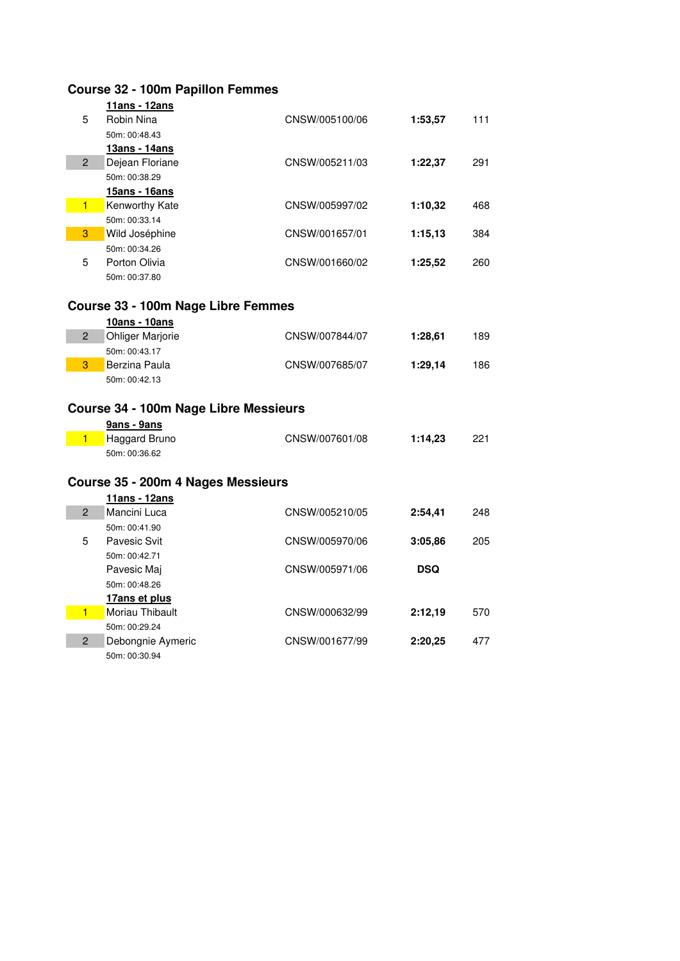|                | <b>Course 32 - 100m Papillon Femmes</b> |                |         |     |
|----------------|-----------------------------------------|----------------|---------|-----|
|                | 11ans - 12ans                           |                |         |     |
| 5              | Robin Nina                              | CNSW/005100/06 | 1:53,57 | 111 |
|                | 50m: 00:48.43                           |                |         |     |
|                | 13ans - 14ans                           |                |         |     |
| $\overline{2}$ | Dejean Floriane                         | CNSW/005211/03 | 1:22,37 | 291 |
|                | 50m: 00:38.29                           |                |         |     |
|                | 15ans - 16ans                           |                |         |     |
| $\blacksquare$ | Kenworthy Kate                          | CNSW/005997/02 | 1:10,32 | 468 |
|                | 50m: 00:33.14                           |                |         |     |
| 3              | Wild Joséphine                          | CNSW/001657/01 | 1:15,13 | 384 |
|                | 50m: 00:34.26                           |                |         |     |
| 5              | Porton Olivia                           | CNSW/001660/02 | 1:25,52 | 260 |
|                | 50m: 00:37.80                           |                |         |     |
|                | Course 33 - 100m Nage Libre Femmes      |                |         |     |
|                | 10ans - 10ans                           |                |         |     |
| $\overline{2}$ | <b>Ohliger Marjorie</b>                 | CNSW/007844/07 | 1:28,61 | 189 |
|                | 50m: 00:43.17                           |                |         |     |
| 3              | Berzina Paula                           | CNSW/007685/07 | 1:29,14 | 186 |
|                | 50m: 00:42.13                           |                |         |     |
|                | Course 34 - 100m Nage Libre Messieurs   |                |         |     |
|                |                                         |                |         |     |
|                | 9ans - 9ans                             |                |         |     |
| $\blacksquare$ | Haggard Bruno                           | CNSW/007601/08 | 1:14,23 | 221 |
|                | 50m: 00:36.62                           |                |         |     |
|                | Course 35 - 200m 4 Nages Messieurs      |                |         |     |
|                | 11ans - 12ans                           |                |         |     |
| $\overline{2}$ | Mancini Luca                            | CNSW/005210/05 | 2:54.41 | 248 |
|                | 50m: 00:41.90                           |                |         |     |
| 5              | <b>Pavesic Svit</b>                     | CNSW/005970/06 | 3:05,86 | 205 |
|                | 50m: 00:42.71                           |                |         |     |
|                | Pavesic Maj                             | CNSW/005971/06 | DSQ     |     |
|                | 50m: 00:48.26                           |                |         |     |
|                | 17ans et plus                           |                |         |     |
| $\blacksquare$ | Moriau Thibault                         | CNSW/000632/99 | 2:12,19 | 570 |
|                | 50m: 00:29.24                           |                |         |     |
| $\overline{2}$ | Debongnie Aymeric                       | CNSW/001677/99 | 2:20,25 | 477 |
|                | 50m: 00:30.94                           |                |         |     |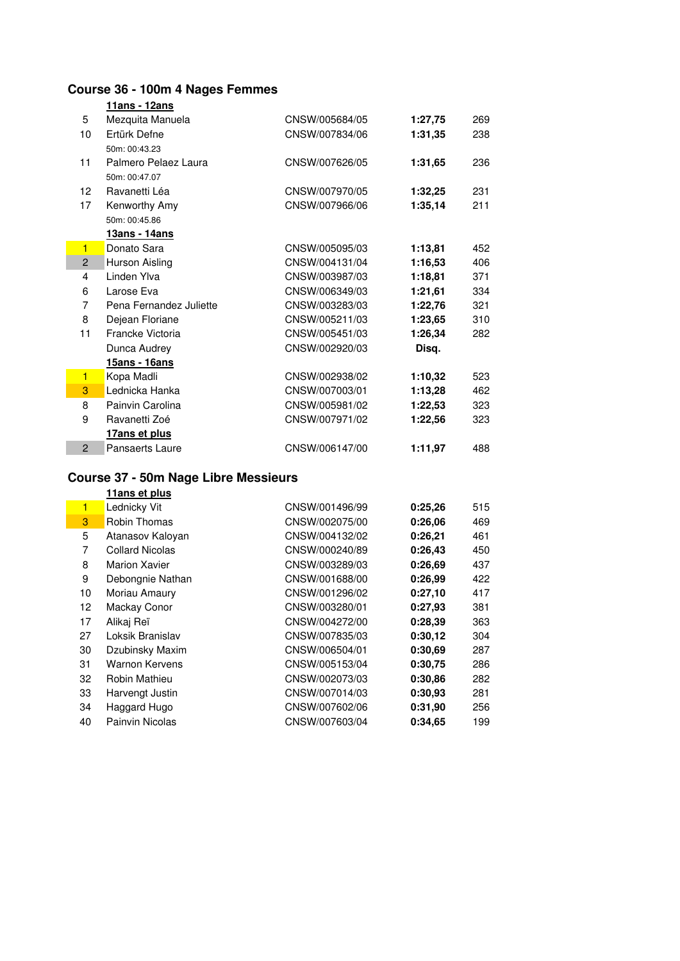# **Course 36 - 100m 4 Nages Femmes**

|                | <u> 11ans - 12ans</u>   |                |         |     |
|----------------|-------------------------|----------------|---------|-----|
| 5              | Mezquita Manuela        | CNSW/005684/05 | 1:27,75 | 269 |
| 10             | Ertürk Defne            | CNSW/007834/06 | 1:31,35 | 238 |
|                | 50m: 00:43.23           |                |         |     |
| 11             | Palmero Pelaez Laura    | CNSW/007626/05 | 1:31,65 | 236 |
|                | 50m: 00:47.07           |                |         |     |
| 12             | Ravanetti Léa           | CNSW/007970/05 | 1:32.25 | 231 |
| 17             | Kenworthy Amy           | CNSW/007966/06 | 1:35,14 | 211 |
|                | 50m: 00:45.86           |                |         |     |
|                | 13ans - 14ans           |                |         |     |
| $\blacksquare$ | Donato Sara             | CNSW/005095/03 | 1:13.81 | 452 |
| $\overline{2}$ | Hurson Aisling          | CNSW/004131/04 | 1:16,53 | 406 |
| 4              | Linden Ylva             | CNSW/003987/03 | 1:18,81 | 371 |
| 6              | Larose Eva              | CNSW/006349/03 | 1:21.61 | 334 |
| 7              | Pena Fernandez Juliette | CNSW/003283/03 | 1:22.76 | 321 |
| 8              | Dejean Floriane         | CNSW/005211/03 | 1:23.65 | 310 |
| 11             | Francke Victoria        | CNSW/005451/03 | 1:26,34 | 282 |
|                | Dunca Audrey            | CNSW/002920/03 | Disq.   |     |
|                | <u> 15ans - 16ans</u>   |                |         |     |
| $\blacksquare$ | Kopa Madli              | CNSW/002938/02 | 1:10,32 | 523 |
| 3              | Lednicka Hanka          | CNSW/007003/01 | 1:13.28 | 462 |
| 8              | Painvin Carolina        | CNSW/005981/02 | 1:22,53 | 323 |
| 9              | Ravanetti Zoé           | CNSW/007971/02 | 1:22,56 | 323 |
|                | 17ans et plus           |                |         |     |
| $\overline{2}$ | Pansaerts Laure         | CNSW/006147/00 | 1:11,97 | 488 |
|                |                         |                |         |     |

## **Course 37 - 50m Nage Libre Messieurs**

|    | 11ans et plus          |                |         |     |
|----|------------------------|----------------|---------|-----|
| 1  | Lednicky Vit           | CNSW/001496/99 | 0:25.26 | 515 |
| 3  | <b>Robin Thomas</b>    | CNSW/002075/00 | 0:26.06 | 469 |
| 5  | Atanasov Kalovan       | CNSW/004132/02 | 0:26,21 | 461 |
| 7  | <b>Collard Nicolas</b> | CNSW/000240/89 | 0:26.43 | 450 |
| 8  | <b>Marion Xavier</b>   | CNSW/003289/03 | 0:26.69 | 437 |
| 9  | Debongnie Nathan       | CNSW/001688/00 | 0:26,99 | 422 |
| 10 | Moriau Amaury          | CNSW/001296/02 | 0:27.10 | 417 |
| 12 | Mackay Conor           | CNSW/003280/01 | 0:27.93 | 381 |
| 17 | Alikaj Reï             | CNSW/004272/00 | 0:28.39 | 363 |
| 27 | Loksik Branislav       | CNSW/007835/03 | 0:30.12 | 304 |
| 30 | Dzubinsky Maxim        | CNSW/006504/01 | 0:30.69 | 287 |
| 31 | Warnon Kervens         | CNSW/005153/04 | 0:30.75 | 286 |
| 32 | Robin Mathieu          | CNSW/002073/03 | 0:30.86 | 282 |
| 33 | Harvengt Justin        | CNSW/007014/03 | 0:30.93 | 281 |
| 34 | Haggard Hugo           | CNSW/007602/06 | 0:31.90 | 256 |
| 40 | Painvin Nicolas        | CNSW/007603/04 | 0:34.65 | 199 |